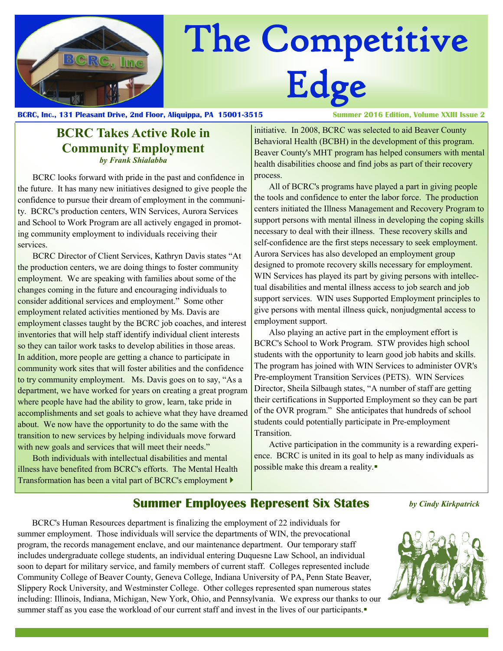

# The Competitive Edge

**BCRC, Inc., 131 Pleasant Drive, 2nd Floor, Aliquippa, PA 15001-3515 Summer 2016 Edition, Volume XXIII Issue 2**

# **BCRC Takes Active Role in Community Employment** *by Frank Shialabba*

BCRC looks forward with pride in the past and confidence in the future. It has many new initiatives designed to give people the confidence to pursue their dream of employment in the community. BCRC's production centers, WIN Services, Aurora Services and School to Work Program are all actively engaged in promoting community employment to individuals receiving their services.

BCRC Director of Client Services, Kathryn Davis states "At the production centers, we are doing things to foster community employment. We are speaking with families about some of the changes coming in the future and encouraging individuals to consider additional services and employment." Some other employment related activities mentioned by Ms. Davis are employment classes taught by the BCRC job coaches, and interest inventories that will help staff identify individual client interests so they can tailor work tasks to develop abilities in those areas. In addition, more people are getting a chance to participate in community work sites that will foster abilities and the confidence to try community employment. Ms. Davis goes on to say, "As a department, we have worked for years on creating a great program where people have had the ability to grow, learn, take pride in accomplishments and set goals to achieve what they have dreamed about. We now have the opportunity to do the same with the transition to new services by helping individuals move forward with new goals and services that will meet their needs."

Both individuals with intellectual disabilities and mental illness have benefited from BCRC's efforts. The Mental Health Transformation has been a vital part of BCRC's employment

initiative. In 2008, BCRC was selected to aid Beaver County Behavioral Health (BCBH) in the development of this program. Beaver County's MHT program has helped consumers with mental health disabilities choose and find jobs as part of their recovery process.

All of BCRC's programs have played a part in giving people the tools and confidence to enter the labor force. The production centers initiated the Illness Management and Recovery Program to support persons with mental illness in developing the coping skills necessary to deal with their illness. These recovery skills and self-confidence are the first steps necessary to seek employment. Aurora Services has also developed an employment group designed to promote recovery skills necessary for employment. WIN Services has played its part by giving persons with intellectual disabilities and mental illness access to job search and job support services. WIN uses Supported Employment principles to give persons with mental illness quick, nonjudgmental access to employment support.

Also playing an active part in the employment effort is BCRC's School to Work Program. STW provides high school students with the opportunity to learn good job habits and skills. The program has joined with WIN Services to administer OVR's Pre-employment Transition Services (PETS). WIN Services Director, Sheila Silbaugh states, "A number of staff are getting their certifications in Supported Employment so they can be part of the OVR program." She anticipates that hundreds of school students could potentially participate in Pre-employment Transition.

Active participation in the community is a rewarding experience. BCRC is united in its goal to help as many individuals as possible make this dream a reality.

# **Summer Employees Represent Six States**

*by Cindy Kirkpatrick*

BCRC's Human Resources department is finalizing the employment of 22 individuals for summer employment. Those individuals will service the departments of WIN, the prevocational program, the records management enclave, and our maintenance department. Our temporary staff includes undergraduate college students, an individual entering Duquesne Law School, an individual soon to depart for military service, and family members of current staff. Colleges represented include Community College of Beaver County, Geneva College, Indiana University of PA, Penn State Beaver, Slippery Rock University, and Westminster College. Other colleges represented span numerous states including: Illinois, Indiana, Michigan, New York, Ohio, and Pennsylvania. We express our thanks to our summer staff as you ease the workload of our current staff and invest in the lives of our participants.

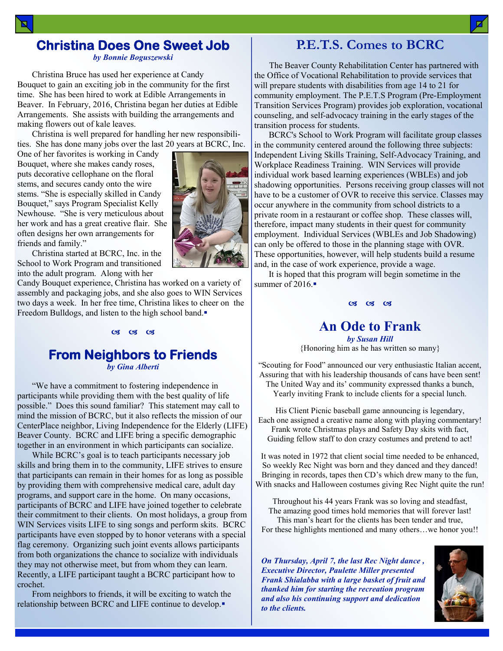# **Christina Does One Sweet Job**  *by Bonnie Boguszewski*

Christina Bruce has used her experience at Candy Bouquet to gain an exciting job in the community for the first time. She has been hired to work at Edible Arrangements in Beaver. In February, 2016, Christina began her duties at Edible Arrangements. She assists with building the arrangements and making flowers out of kale leaves.

Christina is well prepared for handling her new responsibilities. She has done many jobs over the last 20 years at BCRC, Inc.

One of her favorites is working in Candy Bouquet, where she makes candy roses, puts decorative cellophane on the floral stems, and secures candy onto the wire stems. "She is especially skilled in Candy Bouquet," says Program Specialist Kelly Newhouse. "She is very meticulous about her work and has a great creative flair. She often designs her own arrangements for friends and family."

Christina started at BCRC, Inc. in the School to Work Program and transitioned into the adult program. Along with her

Candy Bouquet experience, Christina has worked on a variety of assembly and packaging jobs, and she also goes to WIN Services two days a week. In her free time, Christina likes to cheer on the Freedom Bulldogs, and listen to the high school band.

# $CZ$   $CZ$   $CZ$

### **From Neighbors to Friends**  *by Gina Alberti*

"We have a commitment to fostering independence in participants while providing them with the best quality of life possible." Does this sound familiar? This statement may call to mind the mission of BCRC, but it also reflects the mission of our CenterPlace neighbor, Living Independence for the Elderly (LIFE) Beaver County. BCRC and LIFE bring a specific demographic together in an environment in which participants can socialize.

While BCRC's goal is to teach participants necessary job skills and bring them in to the community, LIFE strives to ensure that participants can remain in their homes for as long as possible by providing them with comprehensive medical care, adult day programs, and support care in the home. On many occasions, participants of BCRC and LIFE have joined together to celebrate their commitment to their clients. On most holidays, a group from WIN Services visits LIFE to sing songs and perform skits. BCRC participants have even stopped by to honor veterans with a special flag ceremony. Organizing such joint events allows participants from both organizations the chance to socialize with individuals they may not otherwise meet, but from whom they can learn. Recently, a LIFE participant taught a BCRC participant how to crochet.

From neighbors to friends, it will be exciting to watch the relationship between BCRC and LIFE continue to develop.

# **P.E.T.S. Comes to BCRC**

The Beaver County Rehabilitation Center has partnered with the Office of Vocational Rehabilitation to provide services that will prepare students with disabilities from age 14 to 21 for community employment. The P.E.T.S Program (Pre-Employment Transition Services Program) provides job exploration, vocational counseling, and self-advocacy training in the early stages of the transition process for students.

BCRC's School to Work Program will facilitate group classes in the community centered around the following three subjects: Independent Living Skills Training, Self-Advocacy Training, and Workplace Readiness Training. WIN Services will provide individual work based learning experiences (WBLEs) and job shadowing opportunities. Persons receiving group classes will not have to be a customer of OVR to receive this service. Classes may occur anywhere in the community from school districts to a private room in a restaurant or coffee shop. These classes will, therefore, impact many students in their quest for community employment. Individual Services (WBLEs and Job Shadowing) can only be offered to those in the planning stage with OVR. These opportunities, however, will help students build a resume and, in the case of work experience, provide a wage.

It is hoped that this program will begin sometime in the summer of  $2016$ .

#### 03 03 03

#### **An Ode to Frank** *by Susan Hill*

{Honoring him as he has written so many}

"Scouting for Food" announced our very enthusiastic Italian accent, Assuring that with his leadership thousands of cans have been sent! The United Way and its' community expressed thanks a bunch, Yearly inviting Frank to include clients for a special lunch.

His Client Picnic baseball game announcing is legendary, Each one assigned a creative name along with playing commentary! Frank wrote Christmas plays and Safety Day skits with fact, Guiding fellow staff to don crazy costumes and pretend to act!

It was noted in 1972 that client social time needed to be enhanced, So weekly Rec Night was born and they danced and they danced! Bringing in records, tapes then CD's which drew many to the fun, With snacks and Halloween costumes giving Rec Night quite the run!

Throughout his 44 years Frank was so loving and steadfast, The amazing good times hold memories that will forever last! This man's heart for the clients has been tender and true, For these highlights mentioned and many others…we honor you!!

*On Thursday, April 7, the last Rec Night dance , Executive Director, Paulette Miller presented Frank Shialabba with a large basket of fruit and thanked him for starting the recreation program and also his continuing support and dedication to the clients.*



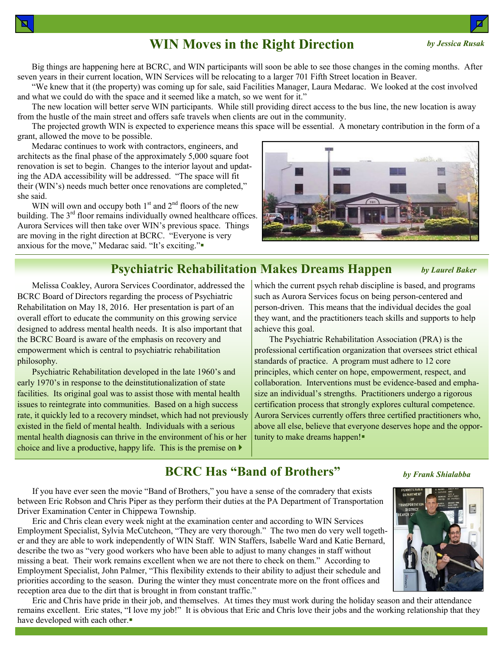# **WIN Moves in the Right Direction**

Big things are happening here at BCRC, and WIN participants will soon be able to see those changes in the coming months. After seven years in their current location, WIN Services will be relocating to a larger 701 Fifth Street location in Beaver.

"We knew that it (the property) was coming up for sale, said Facilities Manager, Laura Medarac. We looked at the cost involved and what we could do with the space and it seemed like a match, so we went for it."

The new location will better serve WIN participants. While still providing direct access to the bus line, the new location is away from the hustle of the main street and offers safe travels when clients are out in the community.

The projected growth WIN is expected to experience means this space will be essential. A monetary contribution in the form of a grant, allowed the move to be possible.

**Psychiatric Rehabilitation Makes Dreams Happen**

Medarac continues to work with contractors, engineers, and architects as the final phase of the approximately 5,000 square foot renovation is set to begin. Changes to the interior layout and updating the ADA accessibility will be addressed. "The space will fit their (WIN's) needs much better once renovations are completed," she said.

WIN will own and occupy both  $1<sup>st</sup>$  and  $2<sup>nd</sup>$  floors of the new building. The 3<sup>rd</sup> floor remains individually owned healthcare offices. Aurora Services will then take over WIN's previous space. Things are moving in the right direction at BCRC. "Everyone is very anxious for the move," Medarac said. "It's exciting."

Melissa Coakley, Aurora Services Coordinator, addressed the

Psychiatric Rehabilitation developed in the late 1960's and early 1970's in response to the deinstitutionalization of state facilities. Its original goal was to assist those with mental health issues to reintegrate into communities. Based on a high success rate, it quickly led to a recovery mindset, which had not previously existed in the field of mental health. Individuals with a serious mental health diagnosis can thrive in the environment of his or her choice and live a productive, happy life. This is the premise on  $\blacktriangleright$ 

BCRC Board of Directors regarding the process of Psychiatric Rehabilitation on May 18, 2016. Her presentation is part of an overall effort to educate the community on this growing service designed to address mental health needs. It is also important that the BCRC Board is aware of the emphasis on recovery and empowerment which is central to psychiatric rehabilitation

which the current psych rehab discipline is based, and programs such as Aurora Services focus on being person-centered and person-driven. This means that the individual decides the goal they want, and the practitioners teach skills and supports to help achieve this goal.

The Psychiatric Rehabilitation Association (PRA) is the professional certification organization that oversees strict ethical standards of practice. A program must adhere to 12 core principles, which center on hope, empowerment, respect, and collaboration. Interventions must be evidence-based and emphasize an individual's strengths. Practitioners undergo a rigorous certification process that strongly explores cultural competence. Aurora Services currently offers three certified practitioners who, above all else, believe that everyone deserves hope and the opportunity to make dreams happen!

# **BCRC Has "Band of Brothers"**

If you have ever seen the movie "Band of Brothers," you have a sense of the comradery that exists between Eric Robson and Chris Piper as they perform their duties at the PA Department of Transportation Driver Examination Center in Chippewa Township.

Eric and Chris clean every week night at the examination center and according to WIN Services Employment Specialist, Sylvia McCutcheon, "They are very thorough." The two men do very well together and they are able to work independently of WIN Staff. WIN Staffers, Isabelle Ward and Katie Bernard, describe the two as "very good workers who have been able to adjust to many changes in staff without missing a beat. Their work remains excellent when we are not there to check on them." According to Employment Specialist, John Palmer, "This flexibility extends to their ability to adjust their schedule and priorities according to the season. During the winter they must concentrate more on the front offices and reception area due to the dirt that is brought in from constant traffic."

Eric and Chris have pride in their job, and themselves. At times they must work during the holiday season and their attendance remains excellent. Eric states, "I love my job!" It is obvious that Eric and Chris love their jobs and the working relationship that they have developed with each other.







#### *by Jessica Rusak*

*by Laurel Baker*

I.

philosophy.